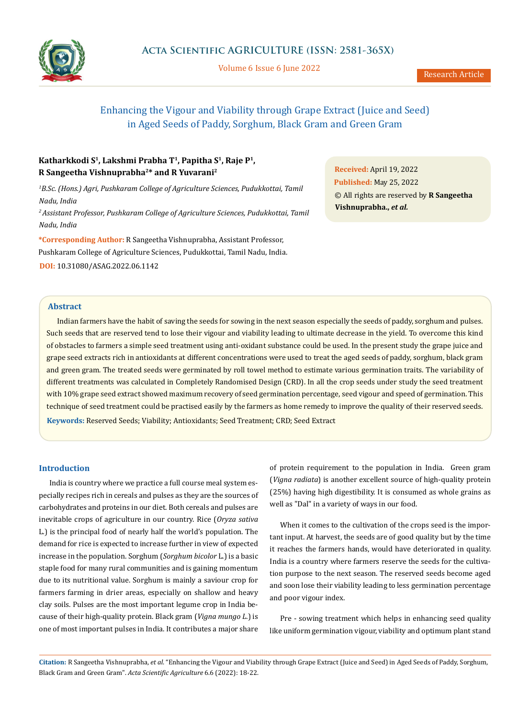

Volume 6 Issue 6 June 2022

# Enhancing the Vigour and Viability through Grape Extract (Juice and Seed) in Aged Seeds of Paddy, Sorghum, Black Gram and Green Gram

# **Katharkkodi S1, Lakshmi Prabha T1, Papitha S1, Raje P1, R Sangeetha Vishnuprabha2\* and R Yuvarani2**

<sup>1</sup>B.Sc. (Hons.) Agri, Pushkaram College of Agriculture Sciences, Pudukkottai, Tamil *Nadu, India*

*2 Assistant Professor, Pushkaram College of Agriculture Sciences, Pudukkottai, Tamil Nadu, India*

**\*Corresponding Author:** R Sangeetha Vishnuprabha, Assistant Professor, Pushkaram College of Agriculture Sciences, Pudukkottai, Tamil Nadu, India. **DOI:** [10.31080/ASAG.2022.06.1142](https://actascientific.com/ASAG/pdf/ASAG-06-1142.pdf)

**Received:** April 19, 2022 **Published:** May 25, 2022 © All rights are reserved by **R Sangeetha Vishnuprabha.,** *et al.*

### **Abstract**

Indian farmers have the habit of saving the seeds for sowing in the next season especially the seeds of paddy, sorghum and pulses. Such seeds that are reserved tend to lose their vigour and viability leading to ultimate decrease in the yield. To overcome this kind of obstacles to farmers a simple seed treatment using anti-oxidant substance could be used. In the present study the grape juice and grape seed extracts rich in antioxidants at different concentrations were used to treat the aged seeds of paddy, sorghum, black gram and green gram. The treated seeds were germinated by roll towel method to estimate various germination traits. The variability of different treatments was calculated in Completely Randomised Design (CRD). In all the crop seeds under study the seed treatment with 10% grape seed extract showed maximum recovery of seed germination percentage, seed vigour and speed of germination. This technique of seed treatment could be practised easily by the farmers as home remedy to improve the quality of their reserved seeds. **Keywords:** Reserved Seeds; Viability; Antioxidants; Seed Treatment; CRD; Seed Extract

#### **Introduction**

India is country where we practice a full course meal system especially recipes rich in cereals and pulses as they are the sources of carbohydrates and proteins in our diet. Both cereals and pulses are inevitable crops of agriculture in our country. Rice (*Oryza sativa*  L*.*) is the principal food of nearly half the world's population. The demand for rice is expected to increase further in view of expected increase in the population. Sorghum (*Sorghum bicolor* L.) is a basic staple food for many rural communities and is gaining momentum due to its nutritional value. Sorghum is mainly a saviour crop for farmers farming in drier areas, especially on shallow and heavy clay soils. Pulses are the most important legume crop in India because of their high-quality protein. Black gram (*Vigna mungo L*.) is one of most important pulses in India. It contributes a major share of protein requirement to the population in India. Green gram (*Vigna radiata*) is another excellent source of high-quality protein (25%) having high digestibility. It is consumed as whole grains as well as "Dal" in a variety of ways in our food.

When it comes to the cultivation of the crops seed is the important input. At harvest, the seeds are of good quality but by the time it reaches the farmers hands, would have deteriorated in quality. India is a country where farmers reserve the seeds for the cultivation purpose to the next season. The reserved seeds become aged and soon lose their viability leading to less germination percentage and poor vigour index.

Pre - sowing treatment which helps in enhancing seed quality like uniform germination vigour, viability and optimum plant stand

**Citation:** R Sangeetha Vishnuprabha, *et al*. "Enhancing the Vigour and Viability through Grape Extract (Juice and Seed) in Aged Seeds of Paddy, Sorghum, Black Gram and Green Gram". *Acta Scientific Agriculture* 6.6 (2022): 18-22.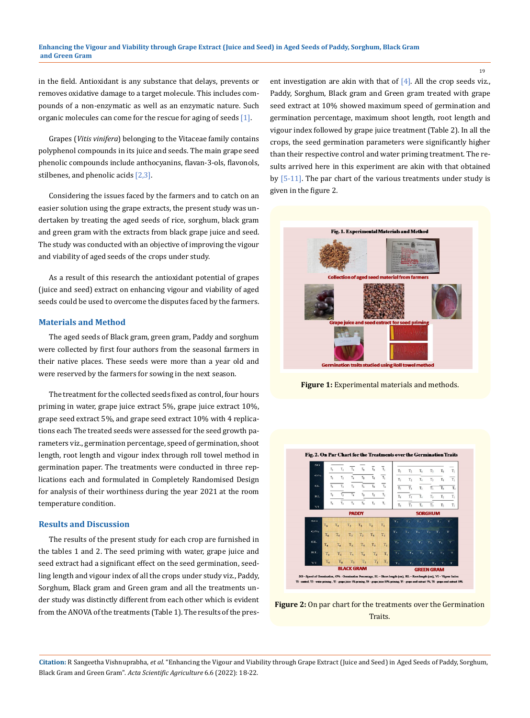in the field. Antioxidant is any substance that delays, prevents or removes oxidative damage to a target molecule. This includes compounds of a non-enzymatic as well as an enzymatic nature. Such organic molecules can come for the rescue for aging of seeds [1].

Grapes (*Vitis vinifera*) belonging to the Vitaceae family contains polyphenol compounds in its juice and seeds. The main grape seed phenolic compounds include anthocyanins, flavan-3-ols, flavonols, stilbenes, and phenolic acids [2,3].

Considering the issues faced by the farmers and to catch on an easier solution using the grape extracts, the present study was undertaken by treating the aged seeds of rice, sorghum, black gram and green gram with the extracts from black grape juice and seed. The study was conducted with an objective of improving the vigour and viability of aged seeds of the crops under study.

As a result of this research the antioxidant potential of grapes (juice and seed) extract on enhancing vigour and viability of aged seeds could be used to overcome the disputes faced by the farmers.

#### **Materials and Method**

The aged seeds of Black gram, green gram, Paddy and sorghum were collected by first four authors from the seasonal farmers in their native places. These seeds were more than a year old and were reserved by the farmers for sowing in the next season.

The treatment for the collected seeds fixed as control, four hours priming in water, grape juice extract 5%, grape juice extract 10%, grape seed extract 5%, and grape seed extract 10% with 4 replications each The treated seeds were assessed for the seed growth parameters viz., germination percentage, speed of germination, shoot length, root length and vigour index through roll towel method in germination paper. The treatments were conducted in three replications each and formulated in Completely Randomised Design for analysis of their worthiness during the year 2021 at the room temperature condition.

#### **Results and Discussion**

The results of the present study for each crop are furnished in the tables 1 and 2. The seed priming with water, grape juice and seed extract had a significant effect on the seed germination, seedling length and vigour index of all the crops under study viz., Paddy, Sorghum, Black gram and Green gram and all the treatments under study was distinctly different from each other which is evident from the ANOVA of the treatments (Table 1). The results of the present investigation are akin with that of  $[4]$ . All the crop seeds viz., Paddy, Sorghum, Black gram and Green gram treated with grape seed extract at 10% showed maximum speed of germination and germination percentage, maximum shoot length, root length and vigour index followed by grape juice treatment (Table 2). In all the crops, the seed germination parameters were significantly higher than their respective control and water priming treatment. The results arrived here in this experiment are akin with that obtained by [5-11]. The par chart of the various treatments under study is given in the figure 2.



**Figure 1:** Experimental materials and methods.





**Citation:** R Sangeetha Vishnuprabha, *et al*. "Enhancing the Vigour and Viability through Grape Extract (Juice and Seed) in Aged Seeds of Paddy, Sorghum, Black Gram and Green Gram". *Acta Scientific Agriculture* 6.6 (2022): 18-22.

19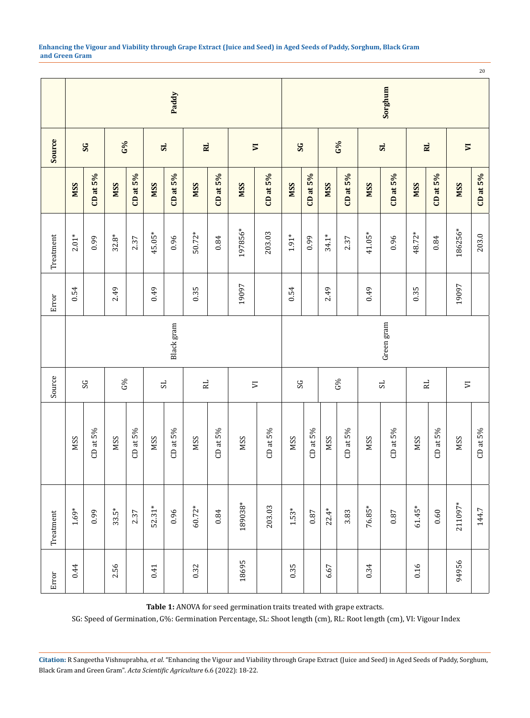|           | Paddy                    |               |            |             |                |               |              |             |                            |               | Sorghum     |             |            |               |                |               |            |             |                          |               |
|-----------|--------------------------|---------------|------------|-------------|----------------|---------------|--------------|-------------|----------------------------|---------------|-------------|-------------|------------|---------------|----------------|---------------|------------|-------------|--------------------------|---------------|
| Source    | $_{\rm{SS}}$             |               | G%         |             | S <sub>L</sub> |               | RL           |             | $\overline{\phantom{a}}$   |               | $_{\rm{S}}$ |             | $G\%$      |               | 5 <sub>2</sub> |               | RL         |             | $\overline{\phantom{0}}$ |               |
|           | <b>NSS</b>               | CD at $5\%$   | <b>NSS</b> | CD at $5\%$ | <b>NSS</b>     | CD at $5\%$   | <b>NSS</b>   | CD at $5\%$ | <b>NSS</b>                 | CD at $5\%$   | <b>NSS</b>  | CD at $5\%$ | <b>NSS</b> | $CD$ at $5\%$ | <b>NSS</b>     | CD at $5\%$   | <b>NSS</b> | CD at $5\%$ | <b>NSS</b>               | CD at $5\%$   |
| Treatment | $2.01*$                  | 0.99          | $32.8*$    | 2.37        | 45.05*         | 0.96          | $50.72*$     | $\bf{0.84}$ | 197856*                    | 203.03        | $1.91*$     | 0.99        | $34.1*$    | 2.37          | 41.05*         | 0.96          | 48.72*     | $\rm 0.84$  | 186256*                  | 203.0         |
| Error     | 0.54                     |               | 2.49       |             | 0.49           |               | 0.35         |             | 19097                      |               | 0.54        |             | 2.49       |               | 0.49           |               | 0.35       |             | 19097                    |               |
|           | Green gram<br>Black gram |               |            |             |                |               |              |             |                            |               |             |             |            |               |                |               |            |             |                          |               |
| Source    | SS                       |               | G%         |             | $\rm{^{12}}$   |               | $\mathbb{R}$ |             | $\overline{\triangledown}$ |               | SS          |             |            | G%            | $_{\rm S}$     |               | RL.        |             | $\mathbf{\nabla}$        |               |
|           | <b>NSS</b>               | $CD$ at $5\%$ | <b>MSS</b> | CDat5%      | <b>NSS</b>     | $CD$ at $5\%$ | <b>NSS</b>   | CD at $5\%$ | <b>NSS</b>                 | $CD$ at $5\%$ | <b>NSS</b>  | CD at $5\%$ | <b>MSS</b> | CD at 5%      | <b>NSS</b>     | $CD$ at $5\%$ | <b>MSS</b> | CDat5%      | <b>NSS</b>               | $CD$ at $5\%$ |
| Treatment | $1.69*$                  | 0.99          | $33.5*$    | 2.37        | $52.31*$       | 0.96          | $60.72*$     | $\rm 0.84$  | 189038*                    | 203.03        | $1.53*$     | $\!0.87\!$  | $22.4*$    | 3.83          | 76.85*         | $0.87\,$      | $61.45*$   | 0.60        | 211097*                  | 144.7         |
| Error     | 0.44                     |               | 2.56       |             | 0.41           |               | 0.32         |             | 18695                      |               | 0.35        |             | 6.67       |               | 0.34           |               | 0.16       |             | 94956                    |               |

**Table 1:** ANOVA for seed germination traits treated with grape extracts.

SG: Speed of Germination, G%: Germination Percentage, SL: Shoot length (cm), RL: Root length (cm), VI: Vigour Index

**Citation:** R Sangeetha Vishnuprabha, *et al*. "Enhancing the Vigour and Viability through Grape Extract (Juice and Seed) in Aged Seeds of Paddy, Sorghum, Black Gram and Green Gram". *Acta Scientific Agriculture* 6.6 (2022): 18-22.

20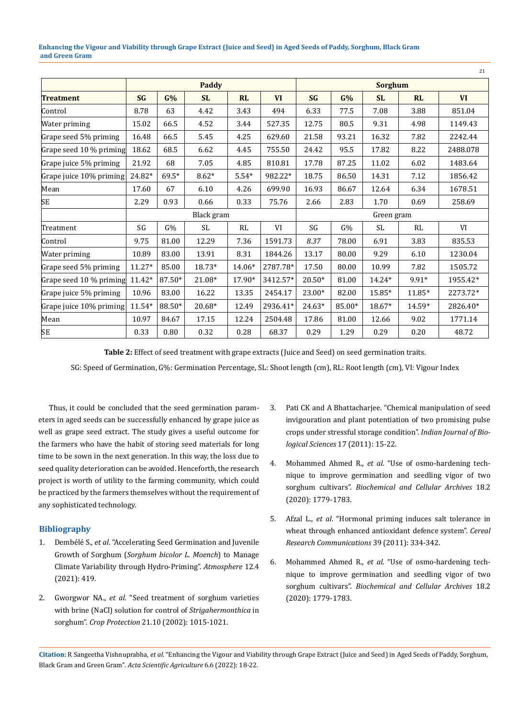**Enhancing the Vigour and Viability through Grape Extract (Juice and Seed) in Aged Seeds of Paddy, Sorghum, Black Gram and Green Gram**

|                         |           |         |              |         |           |                |        |           |           | 21        |  |  |
|-------------------------|-----------|---------|--------------|---------|-----------|----------------|--------|-----------|-----------|-----------|--|--|
|                         |           |         | <b>Paddy</b> |         |           | <b>Sorghum</b> |        |           |           |           |  |  |
| <b>Treatment</b>        | <b>SG</b> | G%      | <b>SL</b>    | RL      | <b>VI</b> | <b>SG</b>      | G%     | <b>SL</b> | <b>RL</b> | <b>VI</b> |  |  |
| Control                 | 8.78      | 63      | 4.42         | 3.43    | 494       | 6.33           | 77.5   | 7.08      | 3.88      | 851.04    |  |  |
| Water priming           | 15.02     | 66.5    | 4.52         | 3.44    | 527.35    | 12.75          | 80.5   | 9.31      | 4.98      | 1149.43   |  |  |
| Grape seed 5% priming   | 16.48     | 66.5    | 5.45         | 4.25    | 629.60    | 21.58          | 93.21  | 16.32     | 7.82      | 2242.44   |  |  |
| Grape seed 10 % priming | 18.62     | 68.5    | 6.62         | 4.45    | 755.50    | 24.42          | 95.5   | 17.82     | 8.22      | 2488.078  |  |  |
| Grape juice 5% priming  | 21.92     | 68      | 7.05         | 4.85    | 810.81    | 17.78          | 87.25  | 11.02     | 6.02      | 1483.64   |  |  |
| Grape juice 10% priming | 24.82*    | $69.5*$ | $8.62*$      | $5.54*$ | 982.22*   | 18.75          | 86.50  | 14.31     | 7.12      | 1856.42   |  |  |
| Mean                    | 17.60     | 67      | 6.10         | 4.26    | 699.90    | 16.93          | 86.67  | 12.64     | 6.34      | 1678.51   |  |  |
| SE.                     | 2.29      | 0.93    | 0.66         | 0.33    | 75.76     | 2.66           | 2.83   | 1.70      | 0.69      | 258.69    |  |  |
|                         |           |         | Black gram   |         |           | Green gram     |        |           |           |           |  |  |
| Treatment               | SG        | G%      | SL           | RL      | VI        | SG             | G%     | SL.       | RL        | VI        |  |  |
| Control                 | 9.75      | 81.00   | 12.29        | 7.36    | 1591.73   | 8.37           | 78.00  | 6.91      | 3.83      | 835.53    |  |  |
| Water priming           | 10.89     | 83.00   | 13.91        | 8.31    | 1844.26   | 13.17          | 80.00  | 9.29      | 6.10      | 1230.04   |  |  |
| Grape seed 5% priming   | $11.27*$  | 85.00   | 18.73*       | 14.06*  | 2787.78*  | 17.50          | 80.00  | 10.99     | 7.82      | 1505.72   |  |  |
| Grape seed 10 % priming | $11.42*$  | 87.50*  | 21.08*       | 17.90*  | 3412.57*  | $20.50*$       | 81.00  | 14.24*    | 9.91*     | 1955.42*  |  |  |
| Grape juice 5% priming  | 10.96     | 83.00   | 16.22        | 13.35   | 2454.17   | $23.00*$       | 82.00  | 15.85*    | 11.85*    | 2273.72*  |  |  |
| Grape juice 10% priming | $11.54*$  | 88.50*  | 20.68*       | 12.49   | 2936.41*  | $24.63*$       | 85.00* | 18.67*    | 14.59*    | 2826.40*  |  |  |
| Mean                    | 10.97     | 84.67   | 17.15        | 12.24   | 2504.48   | 17.86          | 81.00  | 12.66     | 9.02      | 1771.14   |  |  |
| SE                      | 0.33      | 0.80    | 0.32         | 0.28    | 68.37     | 0.29           | 1.29   | 0.29      | 0.20      | 48.72     |  |  |

**Table 2:** Effect of seed treatment with grape extracts (Juice and Seed) on seed germination traits.

SG: Speed of Germination, G%: Germination Percentage, SL: Shoot length (cm), RL: Root length (cm), VI: Vigour Index

Thus, it could be concluded that the seed germination parameters in aged seeds can be successfully enhanced by grape juice as well as grape seed extract. The study gives a useful outcome for the farmers who have the habit of storing seed materials for long time to be sown in the next generation. In this way, the loss due to seed quality deterioration can be avoided. Henceforth, the research project is worth of utility to the farming community, which could be practiced by the farmers themselves without the requirement of any sophisticated technology.

## **Bibliography**

- 1. Dembélé S., *et al*[. "Accelerating Seed Germination and Juvenile](https://www.mdpi.com/2073-4433/12/4/419)  Growth of Sorghum (*[Sorghum bicolor L. Moench](https://www.mdpi.com/2073-4433/12/4/419)*) to Manage [Climate Variability through Hydro-Priming".](https://www.mdpi.com/2073-4433/12/4/419) *Atmosphere* 12.4 [\(2021\): 419.](https://www.mdpi.com/2073-4433/12/4/419)
- 2. Gworgwor NA., *et al*[. "Seed treatment of sorghum varieties](https://www.sciencedirect.com/science/article/abs/pii/S0261219402000856)  [with brine \(NaCl\) solution for control of](https://www.sciencedirect.com/science/article/abs/pii/S0261219402000856) *Strigahermonthica* in sorghum". *Crop Protection* [21.10 \(2002\): 1015-1021.](https://www.sciencedirect.com/science/article/abs/pii/S0261219402000856)
- 3. Pati CK and A Bhattacharjee. "Chemical manipulation of seed invigouration and plant potentiation of two promising pulse crops under stressful storage condition". *Indian Journal of Biological Sciences* 17 (2011): 15-22.
- 4. Mohammed Ahmed R., *et al*[. "Use of osmo-hardening tech](https://www.researchgate.net/publication/331968854_USE_OF_OSMO-HARDENING_TECHNIQUE_TO_IMPROVE_GERMINATION_AND_SEEDLING_VIGOR_OF_TWO_SORGHUM_CULTIVARS)[nique to improve germination and seedling vigor of two](https://www.researchgate.net/publication/331968854_USE_OF_OSMO-HARDENING_TECHNIQUE_TO_IMPROVE_GERMINATION_AND_SEEDLING_VIGOR_OF_TWO_SORGHUM_CULTIVARS)  sorghum cultivars". *[Biochemical and Cellular Archives](https://www.researchgate.net/publication/331968854_USE_OF_OSMO-HARDENING_TECHNIQUE_TO_IMPROVE_GERMINATION_AND_SEEDLING_VIGOR_OF_TWO_SORGHUM_CULTIVARS)* 18.2 [\(2020\): 1779-1783.](https://www.researchgate.net/publication/331968854_USE_OF_OSMO-HARDENING_TECHNIQUE_TO_IMPROVE_GERMINATION_AND_SEEDLING_VIGOR_OF_TWO_SORGHUM_CULTIVARS)
- 5. Afzal L., *et al*. "Hormonal priming induces salt tolerance in wheat through enhanced antioxidant defence system". *Cereal Research Communications* 39 (2011): 334-342.
- 6. Mohammed Ahmed R., *et al*[. "Use of osmo-hardening tech](https://www.researchgate.net/publication/331968854_USE_OF_OSMO-HARDENING_TECHNIQUE_TO_IMPROVE_GERMINATION_AND_SEEDLING_VIGOR_OF_TWO_SORGHUM_CULTIVARS)[nique to improve germination and seedling vigor of two](https://www.researchgate.net/publication/331968854_USE_OF_OSMO-HARDENING_TECHNIQUE_TO_IMPROVE_GERMINATION_AND_SEEDLING_VIGOR_OF_TWO_SORGHUM_CULTIVARS)  sorghum cultivars". *[Biochemical and Cellular Archives](https://www.researchgate.net/publication/331968854_USE_OF_OSMO-HARDENING_TECHNIQUE_TO_IMPROVE_GERMINATION_AND_SEEDLING_VIGOR_OF_TWO_SORGHUM_CULTIVARS)* 18.2 [\(2020\): 1779-1783.](https://www.researchgate.net/publication/331968854_USE_OF_OSMO-HARDENING_TECHNIQUE_TO_IMPROVE_GERMINATION_AND_SEEDLING_VIGOR_OF_TWO_SORGHUM_CULTIVARS)

**Citation:** R Sangeetha Vishnuprabha, *et al*. "Enhancing the Vigour and Viability through Grape Extract (Juice and Seed) in Aged Seeds of Paddy, Sorghum, Black Gram and Green Gram". *Acta Scientific Agriculture* 6.6 (2022): 18-22.